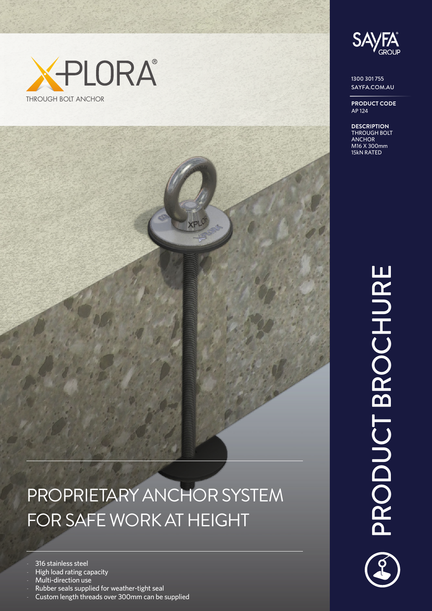



1300 301 755 SAYFA.COM.AU

**PRODUCT CODE** AP 124

**DESCRIPTION** THROUGH BOLT ANCHOR M16 X 300mm 15kN RATED

## PRODUCT BROCHURE PRODUCT BROCHURE

## PROPRIETARY ANCHOR SYSTEM FOR SAFE WORK AT HEIGHT

316 stainless steel

- High load rating capacity
- Multi-direction use
- Rubber seals supplied for weather-tight seal
- Custom length threads over 300mm can be supplied